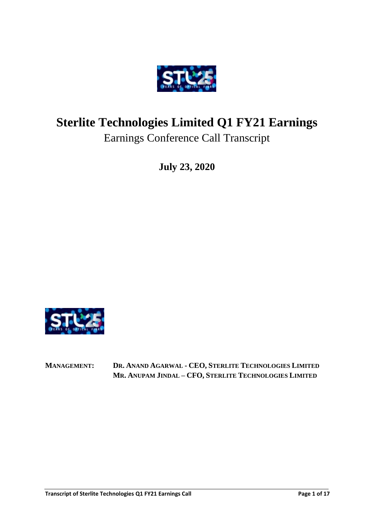

# **Sterlite Technologies Limited Q1 FY21 Earnings** Earnings Conference Call Transcript

**July 23, 2020**



**MANAGEMENT: DR. ANAND AGARWAL - CEO, STERLITE TECHNOLOGIES LIMITED MR. ANUPAM JINDAL – CFO, STERLITE TECHNOLOGIES LIMITED**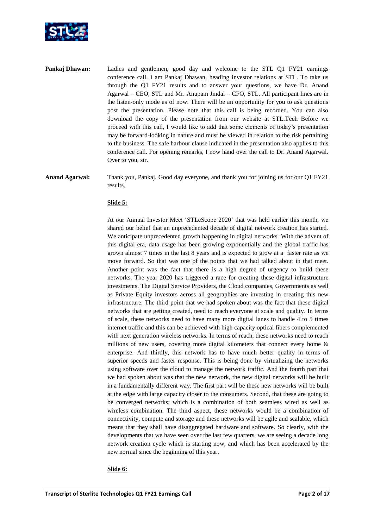

- **Pankaj Dhawan:** Ladies and gentlemen, good day and welcome to the STL Q1 FY21 earnings conference call. I am Pankaj Dhawan, heading investor relations at STL. To take us through the Q1 FY21 results and to answer your questions, we have Dr. Anand Agarwal – CEO, STL and Mr. Anupam Jindal – CFO, STL. All participant lines are in the listen-only mode as of now. There will be an opportunity for you to ask questions post the presentation. Please note that this call is being recorded. You can also download the copy of the presentation from our website at STL.Tech Before we proceed with this call, I would like to add that some elements of today's presentation may be forward-looking in nature and must be viewed in relation to the risk pertaining to the business. The safe harbour clause indicated in the presentation also applies to this conference call. For opening remarks, I now hand over the call to Dr. Anand Agarwal. Over to you, sir.
- **Anand Agarwal:** Thank you, Pankaj. Good day everyone, and thank you for joining us for our Q1 FY21 results.

## **Slide 5:**

At our Annual Investor Meet 'STLeScope 2020' that was held earlier this month, we shared our belief that an unprecedented decade of digital network creation has started. We anticipate unprecedented growth happening in digital networks. With the advent of this digital era, data usage has been growing exponentially and the global traffic has grown almost 7 times in the last 8 years and is expected to grow at a faster rate as we move forward. So that was one of the points that we had talked about in that meet. Another point was the fact that there is a high degree of urgency to build these networks. The year 2020 has triggered a race for creating these digital infrastructure investments. The Digital Service Providers, the Cloud companies, Governments as well as Private Equity investors across all geographies are investing in creating this new infrastructure. The third point that we had spoken about was the fact that these digital networks that are getting created, need to reach everyone at scale and quality. In terms of scale, these networks need to have many more digital lanes to handle 4 to 5 times internet traffic and this can be achieved with high capacity optical fibers complemented with next generation wireless networks. In terms of reach, these networks need to reach millions of new users, covering more digital kilometers that connect every home  $\&$ enterprise. And thirdly, this network has to have much better quality in terms of superior speeds and faster response. This is being done by virtualizing the networks using software over the cloud to manage the network traffic. And the fourth part that we had spoken about was that the new network, the new digital networks will be built in a fundamentally different way. The first part will be these new networks will be built at the edge with large capacity closer to the consumers. Second, that these are going to be converged networks; which is a combination of both seamless wired as well as wireless combination. The third aspect, these networks would be a combination of connectivity, compute and storage and these networks will be agile and scalable, which means that they shall have disaggregated hardware and software. So clearly, with the developments that we have seen over the last few quarters, we are seeing a decade long network creation cycle which is starting now, and which has been accelerated by the new normal since the beginning of this year.

#### **Slide 6:**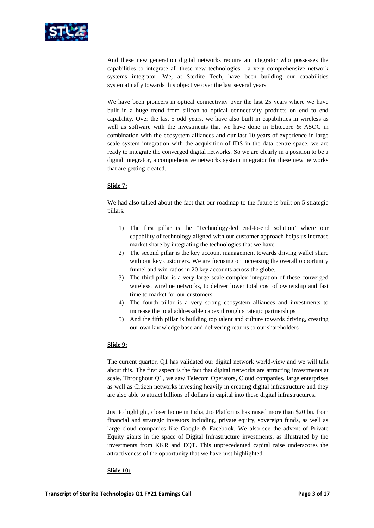

And these new generation digital networks require an integrator who possesses the capabilities to integrate all these new technologies - a very comprehensive network systems integrator. We, at Sterlite Tech, have been building our capabilities systematically towards this objective over the last several years.

We have been pioneers in optical connectivity over the last 25 years where we have built in a huge trend from silicon to optical connectivity products on end to end capability. Over the last 5 odd years, we have also built in capabilities in wireless as well as software with the investments that we have done in Elitecore & ASOC in combination with the ecosystem alliances and our last 10 years of experience in large scale system integration with the acquisition of IDS in the data centre space, we are ready to integrate the converged digital networks. So we are clearly in a position to be a digital integrator, a comprehensive networks system integrator for these new networks that are getting created.

# **Slide 7:**

We had also talked about the fact that our roadmap to the future is built on 5 strategic pillars.

- 1) The first pillar is the 'Technology-led end-to-end solution' where our capability of technology aligned with our customer approach helps us increase market share by integrating the technologies that we have.
- 2) The second pillar is the key account management towards driving wallet share with our key customers. We are focusing on increasing the overall opportunity funnel and win-ratios in 20 key accounts across the globe.
- 3) The third pillar is a very large scale complex integration of these converged wireless, wireline networks, to deliver lower total cost of ownership and fast time to market for our customers.
- 4) The fourth pillar is a very strong ecosystem alliances and investments to increase the total addressable capex through strategic partnerships
- 5) And the fifth pillar is building top talent and culture towards driving, creating our own knowledge base and delivering returns to our shareholders

## **Slide 9:**

The current quarter, Q1 has validated our digital network world-view and we will talk about this. The first aspect is the fact that digital networks are attracting investments at scale. Throughout Q1, we saw Telecom Operators, Cloud companies, large enterprises as well as Citizen networks investing heavily in creating digital infrastructure and they are also able to attract billions of dollars in capital into these digital infrastructures.

Just to highlight, closer home in India, Jio Platforms has raised more than \$20 bn. from financial and strategic investors including, private equity, sovereign funds, as well as large cloud companies like Google & Facebook. We also see the advent of Private Equity giants in the space of Digital Infrastructure investments, as illustrated by the investments from KKR and EQT. This unprecedented capital raise underscores the attractiveness of the opportunity that we have just highlighted.

#### **Slide 10:**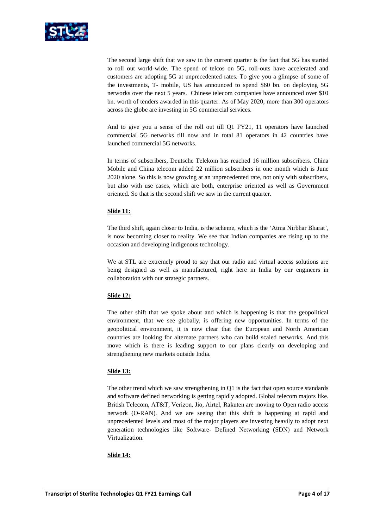

The second large shift that we saw in the current quarter is the fact that 5G has started to roll out world-wide. The spend of telcos on 5G, roll-outs have accelerated and customers are adopting 5G at unprecedented rates. To give you a glimpse of some of the investments, T- mobile, US has announced to spend \$60 bn. on deploying 5G networks over the next 5 years. Chinese telecom companies have announced over \$10 bn. worth of tenders awarded in this quarter. As of May 2020, more than 300 operators across the globe are investing in 5G commercial services.

And to give you a sense of the roll out till Q1 FY21, 11 operators have launched commercial 5G networks till now and in total 81 operators in 42 countries have launched commercial 5G networks.

In terms of subscribers, Deutsche Telekom has reached 16 million subscribers. China Mobile and China telecom added 22 million subscribers in one month which is June 2020 alone. So this is now growing at an unprecedented rate, not only with subscribers, but also with use cases, which are both, enterprise oriented as well as Government oriented. So that is the second shift we saw in the current quarter.

# **Slide 11:**

The third shift, again closer to India, is the scheme, which is the 'Atma Nirbhar Bharat', is now becoming closer to reality. We see that Indian companies are rising up to the occasion and developing indigenous technology.

We at STL are extremely proud to say that our radio and virtual access solutions are being designed as well as manufactured, right here in India by our engineers in collaboration with our strategic partners.

## **Slide 12:**

The other shift that we spoke about and which is happening is that the geopolitical environment, that we see globally, is offering new opportunities. In terms of the geopolitical environment, it is now clear that the European and North American countries are looking for alternate partners who can build scaled networks. And this move which is there is leading support to our plans clearly on developing and strengthening new markets outside India.

## **Slide 13:**

The other trend which we saw strengthening in Q1 is the fact that open source standards and software defined networking is getting rapidly adopted. Global telecom majors like. British Telecom, AT&T, Verizon, Jio, Airtel, Rakuten are moving to Open radio access network (O-RAN). And we are seeing that this shift is happening at rapid and unprecedented levels and most of the major players are investing heavily to adopt next generation technologies like Software- Defined Networking (SDN) and Network Virtualization.

## **Slide 14:**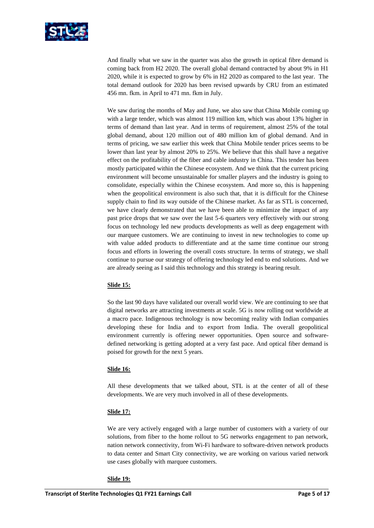

And finally what we saw in the quarter was also the growth in optical fibre demand is coming back from H2 2020. The overall global demand contracted by about 9% in H1 2020, while it is expected to grow by 6% in H2 2020 as compared to the last year. The total demand outlook for 2020 has been revised upwards by CRU from an estimated 456 mn. fkm. in April to 471 mn. fkm in July.

We saw during the months of May and June, we also saw that China Mobile coming up with a large tender, which was almost 119 million km, which was about 13% higher in terms of demand than last year. And in terms of requirement, almost 25% of the total global demand, about 120 million out of 480 million km of global demand. And in terms of pricing, we saw earlier this week that China Mobile tender prices seems to be lower than last year by almost 20% to 25%. We believe that this shall have a negative effect on the profitability of the fiber and cable industry in China. This tender has been mostly participated within the Chinese ecosystem. And we think that the current pricing environment will become unsustainable for smaller players and the industry is going to consolidate, especially within the Chinese ecosystem. And more so, this is happening when the geopolitical environment is also such that, that it is difficult for the Chinese supply chain to find its way outside of the Chinese market. As far as STL is concerned, we have clearly demonstrated that we have been able to minimize the impact of any past price drops that we saw over the last 5-6 quarters very effectively with our strong focus on technology led new products developments as well as deep engagement with our marquee customers. We are continuing to invest in new technologies to come up with value added products to differentiate and at the same time continue our strong focus and efforts in lowering the overall costs structure. In terms of strategy, we shall continue to pursue our strategy of offering technology led end to end solutions. And we are already seeing as I said this technology and this strategy is bearing result.

# **Slide 15:**

So the last 90 days have validated our overall world view. We are continuing to see that digital networks are attracting investments at scale. 5G is now rolling out worldwide at a macro pace. Indigenous technology is now becoming reality with Indian companies developing these for India and to export from India. The overall geopolitical environment currently is offering newer opportunities. Open source and softwaredefined networking is getting adopted at a very fast pace. And optical fiber demand is poised for growth for the next 5 years.

## **Slide 16:**

All these developments that we talked about, STL is at the center of all of these developments. We are very much involved in all of these developments.

## **Slide 17:**

We are very actively engaged with a large number of customers with a variety of our solutions, from fiber to the home rollout to 5G networks engagement to pan network, nation network connectivity, from Wi-Fi hardware to software-driven network products to data center and Smart City connectivity, we are working on various varied network use cases globally with marquee customers.

#### **Slide 19:**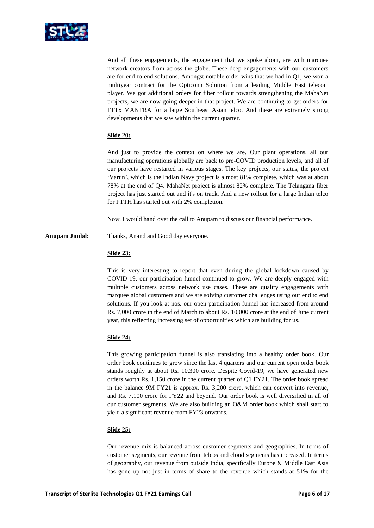

And all these engagements, the engagement that we spoke about, are with marquee network creators from across the globe. These deep engagements with our customers are for end-to-end solutions. Amongst notable order wins that we had in Q1, we won a multiyear contract for the Opticonn Solution from a leading Middle East telecom player. We got additional orders for fiber rollout towards strengthening the MahaNet projects, we are now going deeper in that project. We are continuing to get orders for FTTx MANTRA for a large Southeast Asian telco. And these are extremely strong developments that we saw within the current quarter.

# **Slide 20:**

And just to provide the context on where we are. Our plant operations, all our manufacturing operations globally are back to pre-COVID production levels, and all of our projects have restarted in various stages. The key projects, our status, the project 'Varun', which is the Indian Navy project is almost 81% complete, which was at about 78% at the end of Q4. MahaNet project is almost 82% complete. The Telangana fiber project has just started out and it's on track. And a new rollout for a large Indian telco for FTTH has started out with 2% completion.

Now, I would hand over the call to Anupam to discuss our financial performance.

**Anupam Jindal:** Thanks, Anand and Good day everyone.

# **Slide 23:**

This is very interesting to report that even during the global lockdown caused by COVID-19, our participation funnel continued to grow. We are deeply engaged with multiple customers across network use cases. These are quality engagements with marquee global customers and we are solving customer challenges using our end to end solutions. If you look at nos. our open participation funnel has increased from around Rs. 7,000 crore in the end of March to about Rs. 10,000 crore at the end of June current year, this reflecting increasing set of opportunities which are building for us.

# **Slide 24:**

This growing participation funnel is also translating into a healthy order book. Our order book continues to grow since the last 4 quarters and our current open order book stands roughly at about Rs. 10,300 crore. Despite Covid-19, we have generated new orders worth Rs. 1,150 crore in the current quarter of Q1 FY21. The order book spread in the balance 9M FY21 is approx. Rs. 3,200 crore, which can convert into revenue, and Rs. 7,100 crore for FY22 and beyond. Our order book is well diversified in all of our customer segments. We are also building an O&M order book which shall start to yield a significant revenue from FY23 onwards.

## **Slide 25:**

Our revenue mix is balanced across customer segments and geographies. In terms of customer segments, our revenue from telcos and cloud segments has increased. In terms of geography, our revenue from outside India, specifically Europe & Middle East Asia has gone up not just in terms of share to the revenue which stands at 51% for the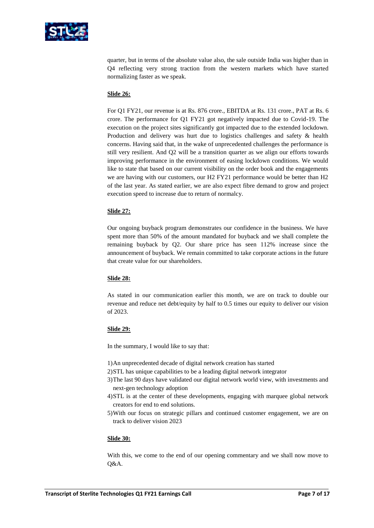

quarter, but in terms of the absolute value also, the sale outside India was higher than in Q4 reflecting very strong traction from the western markets which have started normalizing faster as we speak.

## **Slide 26:**

For Q1 FY21, our revenue is at Rs. 876 crore., EBITDA at Rs. 131 crore., PAT at Rs. 6 crore. The performance for Q1 FY21 got negatively impacted due to Covid-19. The execution on the project sites significantly got impacted due to the extended lockdown. Production and delivery was hurt due to logistics challenges and safety & health concerns. Having said that, in the wake of unprecedented challenges the performance is still very resilient. And Q2 will be a transition quarter as we align our efforts towards improving performance in the environment of easing lockdown conditions. We would like to state that based on our current visibility on the order book and the engagements we are having with our customers, our H2 FY21 performance would be better than H2 of the last year. As stated earlier, we are also expect fibre demand to grow and project execution speed to increase due to return of normalcy.

# **Slide 27:**

Our ongoing buyback program demonstrates our confidence in the business. We have spent more than 50% of the amount mandated for buyback and we shall complete the remaining buyback by Q2. Our share price has seen 112% increase since the announcement of buyback. We remain committed to take corporate actions in the future that create value for our shareholders.

## **Slide 28:**

As stated in our communication earlier this month, we are on track to double our revenue and reduce net debt/equity by half to 0.5 times our equity to deliver our vision of 2023.

## **Slide 29:**

In the summary, I would like to say that:

- 1)An unprecedented decade of digital network creation has started
- 2)STL has unique capabilities to be a leading digital network integrator
- 3)The last 90 days have validated our digital network world view, with investments and next-gen technology adoption
- 4)STL is at the center of these developments, engaging with marquee global network creators for end to end solutions.
- 5)With our focus on strategic pillars and continued customer engagement, we are on track to deliver vision 2023

## **Slide 30:**

With this, we come to the end of our opening commentary and we shall now move to Q&A.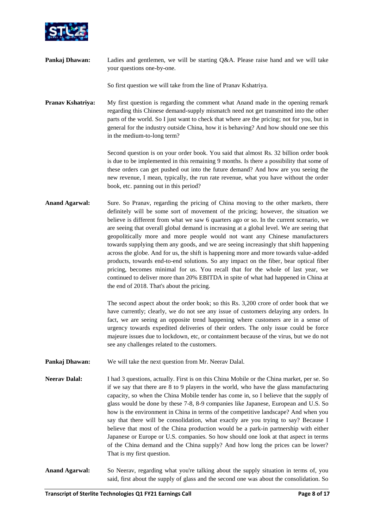

**Pankaj Dhawan:** Ladies and gentlemen, we will be starting Q&A. Please raise hand and we will take your questions one-by-one.

So first question we will take from the line of Pranav Kshatriya.

**Pranav Kshatriya:** My first question is regarding the comment what Anand made in the opening remark regarding this Chinese demand-supply mismatch need not get transmitted into the other parts of the world. So I just want to check that where are the pricing; not for you, but in general for the industry outside China, how it is behaving? And how should one see this in the medium-to-long term?

> Second question is on your order book. You said that almost Rs. 32 billion order book is due to be implemented in this remaining 9 months. Is there a possibility that some of these orders can get pushed out into the future demand? And how are you seeing the new revenue, I mean, typically, the run rate revenue, what you have without the order book, etc. panning out in this period?

Anand Agarwal: Sure. So Pranav, regarding the pricing of China moving to the other markets, there definitely will be some sort of movement of the pricing; however, the situation we believe is different from what we saw 6 quarters ago or so. In the current scenario, we are seeing that overall global demand is increasing at a global level. We are seeing that geopolitically more and more people would not want any Chinese manufacturers towards supplying them any goods, and we are seeing increasingly that shift happening across the globe. And for us, the shift is happening more and more towards value-added products, towards end-to-end solutions. So any impact on the fiber, bear optical fiber pricing, becomes minimal for us. You recall that for the whole of last year, we continued to deliver more than 20% EBITDA in spite of what had happened in China at the end of 2018. That's about the pricing.

> The second aspect about the order book; so this Rs. 3,200 crore of order book that we have currently; clearly, we do not see any issue of customers delaying any orders. In fact, we are seeing an opposite trend happening where customers are in a sense of urgency towards expedited deliveries of their orders. The only issue could be force majeure issues due to lockdown, etc, or containment because of the virus, but we do not see any challenges related to the customers.

- **Pankaj Dhawan:** We will take the next question from Mr. Neerav Dalal.
- **Neerav Dalal:** I had 3 questions, actually. First is on this China Mobile or the China market, per se. So if we say that there are 8 to 9 players in the world, who have the glass manufacturing capacity, so when the China Mobile tender has come in, so I believe that the supply of glass would be done by these 7-8, 8-9 companies like Japanese, European and U.S. So how is the environment in China in terms of the competitive landscape? And when you say that there will be consolidation, what exactly are you trying to say? Because I believe that most of the China production would be a park-in partnership with either Japanese or Europe or U.S. companies. So how should one look at that aspect in terms of the China demand and the China supply? And how long the prices can be lower? That is my first question.
- **Anand Agarwal:** So Neerav, regarding what you're talking about the supply situation in terms of, you said, first about the supply of glass and the second one was about the consolidation. So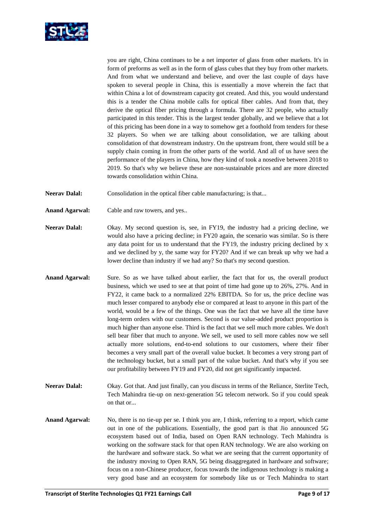

you are right, China continues to be a net importer of glass from other markets. It's in form of preforms as well as in the form of glass cubes that they buy from other markets. And from what we understand and believe, and over the last couple of days have spoken to several people in China, this is essentially a move wherein the fact that within China a lot of downstream capacity got created. And this, you would understand this is a tender the China mobile calls for optical fiber cables. And from that, they derive the optical fiber pricing through a formula. There are 32 people, who actually participated in this tender. This is the largest tender globally, and we believe that a lot of this pricing has been done in a way to somehow get a foothold from tenders for these 32 players. So when we are talking about consolidation, we are talking about consolidation of that downstream industry. On the upstream front, there would still be a supply chain coming in from the other parts of the world. And all of us have seen the performance of the players in China, how they kind of took a nosedive between 2018 to 2019. So that's why we believe these are non-sustainable prices and are more directed towards consolidation within China.

- **Neerav Dalal:** Consolidation in the optical fiber cable manufacturing; is that...
- **Anand Agarwal:** Cable and raw towers, and yes..
- **Neerav Dalal:** Okay. My second question is, see, in FY19, the industry had a pricing decline, we would also have a pricing decline; in FY20 again, the scenario was similar. So is there any data point for us to understand that the FY19, the industry pricing declined by x and we declined by y, the same way for FY20? And if we can break up why we had a lower decline than industry if we had any? So that's my second question.
- **Anand Agarwal:** Sure. So as we have talked about earlier, the fact that for us, the overall product business, which we used to see at that point of time had gone up to 26%, 27%. And in FY22, it came back to a normalized 22% EBITDA. So for us, the price decline was much lesser compared to anybody else or compared at least to anyone in this part of the world, would be a few of the things. One was the fact that we have all the time have long-term orders with our customers. Second is our value-added product proportion is much higher than anyone else. Third is the fact that we sell much more cables. We don't sell bear fiber that much to anyone. We sell, we used to sell more cables now we sell actually more solutions, end-to-end solutions to our customers, where their fiber becomes a very small part of the overall value bucket. It becomes a very strong part of the technology bucket, but a small part of the value bucket. And that's why if you see our profitability between FY19 and FY20, did not get significantly impacted.
- **Neerav Dalal:** Okay. Got that. And just finally, can you discuss in terms of the Reliance, Sterlite Tech, Tech Mahindra tie-up on next-generation 5G telecom network. So if you could speak on that or...
- **Anand Agarwal:** No, there is no tie-up per se. I think you are, I think, referring to a report, which came out in one of the publications. Essentially, the good part is that Jio announced 5G ecosystem based out of India, based on Open RAN technology. Tech Mahindra is working on the software stack for that open RAN technology. We are also working on the hardware and software stack. So what we are seeing that the current opportunity of the industry moving to Open RAN, 5G being disaggregated in hardware and software; focus on a non-Chinese producer, focus towards the indigenous technology is making a very good base and an ecosystem for somebody like us or Tech Mahindra to start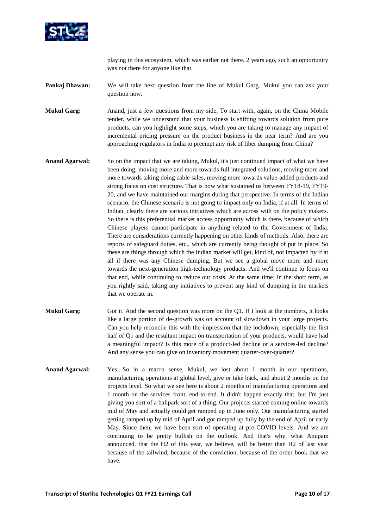

playing in this ecosystem, which was earlier not there. 2 years ago, such an opportunity was not there for anyone like that.

**Pankaj Dhawan:** We will take next question from the line of Mukul Garg. Mukul you can ask your question now.

**Mukul Garg:** Anand, just a few questions from my side. To start with, again, on the China Mobile tender, while we understand that your business is shifting towards solution from pure products, can you highlight some steps, which you are taking to manage any impact of incremental pricing pressure on the product business in the near term? And are you approaching regulators in India to preempt any risk of fiber dumping from China?

- **Anand Agarwal:** So on the impact that we are taking, Mukul, it's just continued impact of what we have been doing, moving more and more towards full integrated solutions, moving more and more towards taking doing cable sales, moving more towards value-added products and strong focus on cost structure. That is how what sustained us between FY18-19, FY19- 20, and we have maintained our margins during that perspective. In terms of the Indian scenario, the Chinese scenario is not going to impact only on India, if at all. In terms of Indian, clearly there are various initiatives which are across with on the policy makers. So there is this preferential market access opportunity which is there, because of which Chinese players cannot participate in anything related to the Government of India. There are considerations currently happening on other kinds of methods. Also, there are reports of safeguard duties, etc., which are currently being thought of put in place. So these are things through which the Indian market will get, kind of, not impacted by if at all if there was any Chinese dumping. But we see a global move more and more towards the next-generation high-technology products. And we'll continue to focus on that end, while continuing to reduce our costs. At the same time; in the short term, as you rightly said, taking any initiatives to prevent any kind of dumping in the markets that we operate in.
- **Mukul Garg:** Got it. And the second question was more on the Q1. If I look at the numbers, it looks like a large portion of de-growth was on account of slowdown in your large projects. Can you help reconcile this with the impression that the lockdown, especially the first half of Q1 and the resultant impact on transportation of your products, would have had a meaningful impact? Is this more of a product-led decline or a services-led decline? And any sense you can give on inventory movement quarter-over-quarter?
- **Anand Agarwal:** Yes. So in a macro sense, Mukul, we lost about 1 month in our operations, manufacturing operations at global level, give or take back, and about 2 months on the projects level. So what we see here is about 2 months of manufacturing operations and 1 month on the services front, end-to-end. It didn't happen exactly that, but I'm just giving you sort of a ballpark sort of a thing. Our projects started coming online towards mid of May and actually could get ramped up in June only. Our manufacturing started getting ramped up by mid of April and got ramped up fully by the end of April or early May. Since then, we have been sort of operating at pre-COVID levels. And we are continuing to be pretty bullish on the outlook. And that's why, what Anupam announced, that the H2 of this year, we believe, will be better than H2 of last year because of the tailwind, because of the conviction, because of the order book that we have.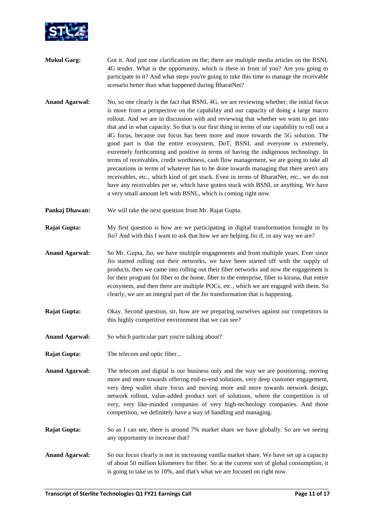

- **Mukul Garg:** Got it. And just one clarification on the; there are multiple media articles on the BSNL 4G tender. What is the opportunity, which is there in front of you? Are you going to participate in it? And what steps you're going to take this time to manage the receivable scenario better than what happened during BharatNet?
- **Anand Agarwal:** No, so one clearly is the fact that BSNL 4G, we are reviewing whether; the initial focus is more from a perspective on the capability and our capacity of doing a large macro rollout. And we are in discussion with and reviewing that whether we want to get into that and in what capacity. So that is our first thing in terms of our capability to roll out a 4G focus, because our focus has been more and more towards the 5G solution. The good part is that the entire ecosystem, DoT, BSNL and everyone is extremely, extremely forthcoming and positive in terms of having the indigenous technology. In terms of receivables, credit worthiness, cash flow management, we are going to take all precautions in terms of whatever has to be done towards managing that there aren't any receivables, etc., which kind of get stuck. Even in terms of BharatNet, etc., we do not have any receivables per se, which have gotten stuck with BSNL or anything. We have a very small amount left with BSNL, which is coming right now.
- **Pankaj Dhawan:** We will take the next question from Mr. Rajat Gupta.
- **Rajat Gupta:** My first question is how are we participating in digital transformation brought in by Jio? And with this I want to ask that how we are helping Jio if, in any way we are?
- **Anand Agarwal:** So Mr. Gupta, Jio, we have multiple engagements and from multiple years. Ever since Jio started rolling out their networks, we have been started off with the supply of products, then we came into rolling out their fiber networks and now the engagement is for their program for fiber to the home, fiber to the enterprise, fiber to kirana, that entire ecosystem, and then there are multiple POCs, etc., which we are engaged with them. So clearly, we are an integral part of the Jio transformation that is happening.
- **Rajat Gupta:** Okay. Second question, sir, how are we preparing ourselves against our competitors in this highly competitive environment that we can see?
- Anand Agarwal: So which particular part you're talking about?
- **Rajat Gupta:** The telecom and optic fiber...
- **Anand Agarwal:** The telecom and digital is our business only and the way we are positioning, moving more and more towards offering end-to-end solutions, very deep customer engagement, very deep wallet share focus and moving more and more towards network design, network rollout, value-added product sort of solutions, where the competition is of very, very like-minded companies of very high-technology companies. And those competition, we definitely have a way of handling and managing.
- **Rajat Gupta:** So as I can see, there is around 7% market share we have globally. So are we seeing any opportunity to increase that?
- **Anand Agarwal:** So our focus clearly is not in increasing vanilla market share. We have set up a capacity of about 50 million kilometers for fiber. So at the current sort of global consumption, it is going to take us to 10%, and that's what we are focused on right now.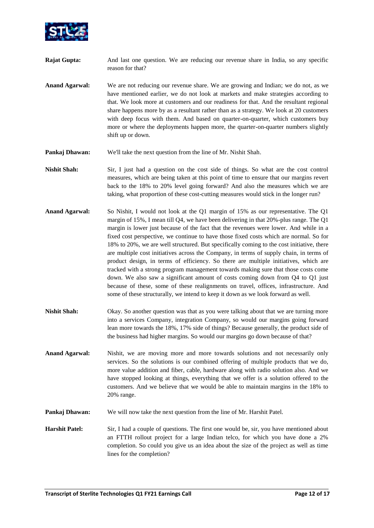

- **Rajat Gupta:** And last one question. We are reducing our revenue share in India, so any specific reason for that?
- **Anand Agarwal:** We are not reducing our revenue share. We are growing and Indian; we do not, as we have mentioned earlier, we do not look at markets and make strategies according to that. We look more at customers and our readiness for that. And the resultant regional share happens more by as a resultant rather than as a strategy. We look at 20 customers with deep focus with them. And based on quarter-on-quarter, which customers buy more or where the deployments happen more, the quarter-on-quarter numbers slightly shift up or down.
- **Pankaj Dhawan:** We'll take the next question from the line of Mr. Nishit Shah.
- **Nishit Shah:** Sir, I just had a question on the cost side of things. So what are the cost control measures, which are being taken at this point of time to ensure that our margins revert back to the 18% to 20% level going forward? And also the measures which we are taking, what proportion of these cost-cutting measures would stick in the longer run?
- Anand Agarwal: So Nishit, I would not look at the Q1 margin of 15% as our representative. The Q1 margin of 15%, I mean till Q4, we have been delivering in that 20%-plus range. The Q1 margin is lower just because of the fact that the revenues were lower. And while in a fixed cost perspective, we continue to have those fixed costs which are normal. So for 18% to 20%, we are well structured. But specifically coming to the cost initiative, there are multiple cost initiatives across the Company, in terms of supply chain, in terms of product design, in terms of efficiency. So there are multiple initiatives, which are tracked with a strong program management towards making sure that those costs come down. We also saw a significant amount of costs coming down from Q4 to Q1 just because of these, some of these realignments on travel, offices, infrastructure. And some of these structurally, we intend to keep it down as we look forward as well.
- **Nishit Shah:** Okay. So another question was that as you were talking about that we are turning more into a services Company, integration Company, so would our margins going forward lean more towards the 18%, 17% side of things? Because generally, the product side of the business had higher margins. So would our margins go down because of that?
- **Anand Agarwal:** Nishit, we are moving more and more towards solutions and not necessarily only services. So the solutions is our combined offering of multiple products that we do, more value addition and fiber, cable, hardware along with radio solution also. And we have stopped looking at things, everything that we offer is a solution offered to the customers. And we believe that we would be able to maintain margins in the 18% to 20% range.
- **Pankaj Dhawan:** We will now take the next question from the line of Mr. Harshit Patel.
- **Harshit Patel:** Sir, I had a couple of questions. The first one would be, sir, you have mentioned about an FTTH rollout project for a large Indian telco, for which you have done a 2% completion. So could you give us an idea about the size of the project as well as time lines for the completion?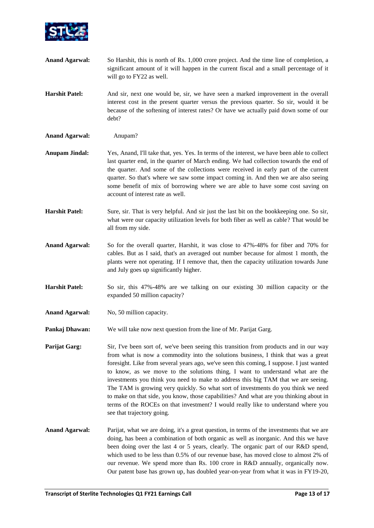

- **Anand Agarwal:** So Harshit, this is north of Rs. 1,000 crore project. And the time line of completion, a significant amount of it will happen in the current fiscal and a small percentage of it will go to FY22 as well.
- **Harshit Patel:** And sir, next one would be, sir, we have seen a marked improvement in the overall interest cost in the present quarter versus the previous quarter. So sir, would it be because of the softening of interest rates? Or have we actually paid down some of our debt?
- **Anand Agarwal:** Anupam?
- **Anupam Jindal:** Yes, Anand, I'll take that, yes. Yes. In terms of the interest, we have been able to collect last quarter end, in the quarter of March ending. We had collection towards the end of the quarter. And some of the collections were received in early part of the current quarter. So that's where we saw some impact coming in. And then we are also seeing some benefit of mix of borrowing where we are able to have some cost saving on account of interest rate as well.
- **Harshit Patel:** Sure, sir. That is very helpful. And sir just the last bit on the bookkeeping one. So sir, what were our capacity utilization levels for both fiber as well as cable? That would be all from my side.
- **Anand Agarwal:** So for the overall quarter, Harshit, it was close to 47%-48% for fiber and 70% for cables. But as I said, that's an averaged out number because for almost 1 month, the plants were not operating. If I remove that, then the capacity utilization towards June and July goes up significantly higher.
- **Harshit Patel:** So sir, this 47%-48% are we talking on our existing 30 million capacity or the expanded 50 million capacity?
- Anand Agarwal: No, 50 million capacity.
- **Pankaj Dhawan:** We will take now next question from the line of Mr. Parijat Garg.
- **Parijat Garg:** Sir, I've been sort of, we've been seeing this transition from products and in our way from what is now a commodity into the solutions business, I think that was a great foresight. Like from several years ago, we've seen this coming, I suppose. I just wanted to know, as we move to the solutions thing, I want to understand what are the investments you think you need to make to address this big TAM that we are seeing. The TAM is growing very quickly. So what sort of investments do you think we need to make on that side, you know, those capabilities? And what are you thinking about in terms of the ROCEs on that investment? I would really like to understand where you see that trajectory going.
- **Anand Agarwal:** Parijat, what we are doing, it's a great question, in terms of the investments that we are doing, has been a combination of both organic as well as inorganic. And this we have been doing over the last 4 or 5 years, clearly. The organic part of our R&D spend, which used to be less than 0.5% of our revenue base, has moved close to almost 2% of our revenue. We spend more than Rs. 100 crore in R&D annually, organically now. Our patent base has grown up, has doubled year-on-year from what it was in FY19-20,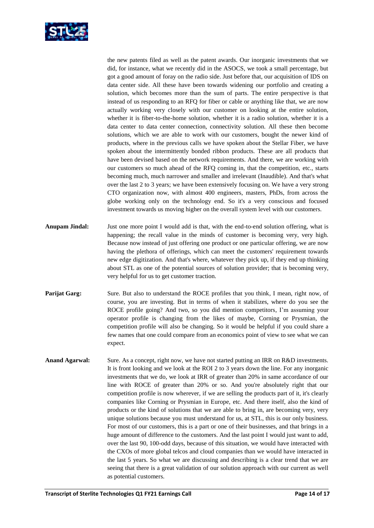

the new patents filed as well as the patent awards. Our inorganic investments that we did, for instance, what we recently did in the ASOCS, we took a small percentage, but got a good amount of foray on the radio side. Just before that, our acquisition of IDS on data center side. All these have been towards widening our portfolio and creating a solution, which becomes more than the sum of parts. The entire perspective is that instead of us responding to an RFQ for fiber or cable or anything like that, we are now actually working very closely with our customer on looking at the entire solution, whether it is fiber-to-the-home solution, whether it is a radio solution, whether it is a data center to data center connection, connectivity solution. All these then become solutions, which we are able to work with our customers, bought the newer kind of products, where in the previous calls we have spoken about the Stellar Fiber, we have spoken about the intermittently bonded ribbon products. These are all products that have been devised based on the network requirements. And there, we are working with our customers so much ahead of the RFQ coming in, that the competition, etc., starts becoming much, much narrower and smaller and irrelevant (Inaudible). And that's what over the last 2 to 3 years; we have been extensively focusing on. We have a very strong CTO organization now, with almost 400 engineers, masters, PhDs, from across the globe working only on the technology end. So it's a very conscious and focused investment towards us moving higher on the overall system level with our customers.

- **Anupam Jindal:** Just one more point I would add is that, with the end-to-end solution offering, what is happening; the recall value in the minds of customer is becoming very, very high. Because now instead of just offering one product or one particular offering, we are now having the plethora of offerings, which can meet the customers' requirement towards new edge digitization. And that's where, whatever they pick up, if they end up thinking about STL as one of the potential sources of solution provider; that is becoming very, very helpful for us to get customer traction.
- **Parijat Garg:** Sure. But also to understand the ROCE profiles that you think, I mean, right now, of course, you are investing. But in terms of when it stabilizes, where do you see the ROCE profile going? And two, so you did mention competitors, I'm assuming your operator profile is changing from the likes of maybe, Corning or Prysmian, the competition profile will also be changing. So it would be helpful if you could share a few names that one could compare from an economics point of view to see what we can expect.
- **Anand Agarwal:** Sure. As a concept, right now, we have not started putting an IRR on R&D investments. It is front looking and we look at the ROI 2 to 3 years down the line. For any inorganic investments that we do, we look at IRR of greater than 20% in same accordance of our line with ROCE of greater than 20% or so. And you're absolutely right that our competition profile is now wherever, if we are selling the products part of it, it's clearly companies like Corning or Prysmian in Europe, etc. And there itself, also the kind of products or the kind of solutions that we are able to bring in, are becoming very, very unique solutions because you must understand for us, at STL, this is our only business. For most of our customers, this is a part or one of their businesses, and that brings in a huge amount of difference to the customers. And the last point I would just want to add, over the last 90, 100-odd days, because of this situation, we would have interacted with the CXOs of more global telcos and cloud companies than we would have interacted in the last 5 years. So what we are discussing and describing is a clear trend that we are seeing that there is a great validation of our solution approach with our current as well as potential customers.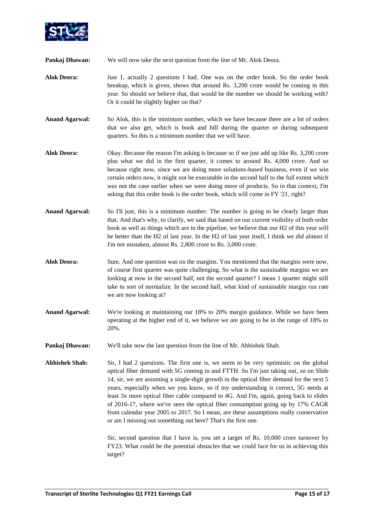

**Pankaj Dhawan:** We will now take the next question from the line of Mr. Alok Deora.

- **Alok Deora:** Just 1, actually 2 questions I had. One was on the order book. So the order book breakup, which is given, shows that around Rs. 3,200 crore would be coming in this year. So should we believe that, that would be the number we should be working with? Or it could be slightly higher on that?
- **Anand Agarwal:** So Alok, this is the minimum number, which we have because there are a lot of orders that we also get, which is book and bill during the quarter or during subsequent quarters. So this is a minimum number that we will have.
- **Alok Deora:** Okay. Because the reason I'm asking is because so if we just add up like Rs. 3,200 crore plus what we did in the first quarter, it comes to around Rs. 4,000 crore. And so because right now, since we are doing more solutions-based business, even if we win certain orders now, it might not be executable in the second half to the full extent which was not the case earlier when we were doing more of products. So in that context, I'm asking that this order book is the order book, which will come in FY '21, right?
- Anand Agarwal: So I'll just, this is a minimum number. The number is going to be clearly larger than that. And that's why, to clarify, we said that based on our current visibility of both order book as well as things which are in the pipeline, we believe that our H2 of this year will be better than the H2 of last year. In the H2 of last year itself, I think we did almost if I'm not mistaken, almost Rs. 2,800 crore to Rs. 3,000 crore.
- **Alok Deora:** Sure. And one question was on the margins. You mentioned that the margins were now, of course first quarter was quite challenging. So what is the sustainable margins we are looking at now in the second half, not the second quarter? I mean 1 quarter might still take to sort of normalize. In the second half, what kind of sustainable margin run rate we are now looking at?
- **Anand Agarwal:** We're looking at maintaining our 18% to 20% margin guidance. While we have been operating at the higher end of it, we believe we are going to be in the range of 18% to 20%.
- **Pankaj Dhawan:** We'll take now the last question from the line of Mr. Abhishek Shah.
- **Abhishek Shah:** Sir, I had 2 questions. The first one is, we seem to be very optimistic on the global optical fiber demand with 5G coming in and FTTH. So I'm just taking out, so on Slide 14, sir, we are assuming a single-digit growth in the optical fiber demand for the next 5 years, especially when we you know, so if my understanding is correct, 5G needs at least 3x more optical fiber cable compared to 4G. And I'm, again, going back to slides of 2016-17, where we've seen the optical fiber consumption going up by 17% CAGR from calendar year 2005 to 2017. So I mean, are these assumptions really conservative or am I missing out something out here? That's the first one.

Sir, second question that I have is, you set a target of Rs. 10,000 crore turnover by FY23. What could be the potential obstacles that we could face for us in achieving this target?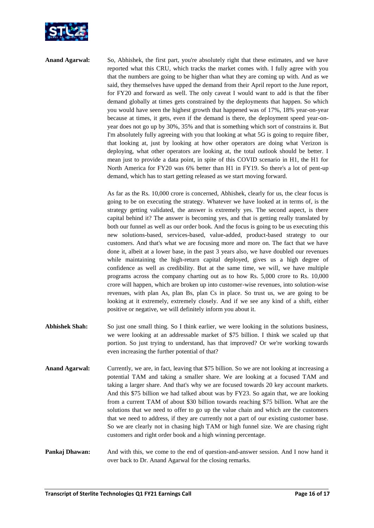

Anand Agarwal: So, Abhishek, the first part, you're absolutely right that these estimates, and we have reported what this CRU, which tracks the market comes with. I fully agree with you that the numbers are going to be higher than what they are coming up with. And as we said, they themselves have upped the demand from their April report to the June report, for FY20 and forward as well. The only caveat I would want to add is that the fiber demand globally at times gets constrained by the deployments that happen. So which you would have seen the highest growth that happened was of 17%, 18% year-on-year because at times, it gets, even if the demand is there, the deployment speed year-onyear does not go up by 30%, 35% and that is something which sort of constrains it. But I'm absolutely fully agreeing with you that looking at what 5G is going to require fiber, that looking at, just by looking at how other operators are doing what Verizon is deploying, what other operators are looking at, the total outlook should be better. I mean just to provide a data point, in spite of this COVID scenario in H1, the H1 for North America for FY20 was 6% better than H1 in FY19. So there's a lot of pent-up demand, which has to start getting released as we start moving forward.

> As far as the Rs. 10,000 crore is concerned, Abhishek, clearly for us, the clear focus is going to be on executing the strategy. Whatever we have looked at in terms of, is the strategy getting validated, the answer is extremely yes. The second aspect, is there capital behind it? The answer is becoming yes, and that is getting really translated by both our funnel as well as our order book. And the focus is going to be us executing this new solutions-based, services-based, value-added, product-based strategy to our customers. And that's what we are focusing more and more on. The fact that we have done it, albeit at a lower base, in the past 3 years also, we have doubled our revenues while maintaining the high-return capital deployed, gives us a high degree of confidence as well as credibility. But at the same time, we will, we have multiple programs across the company charting out as to how Rs. 5,000 crore to Rs. 10,000 crore will happen, which are broken up into customer-wise revenues, into solution-wise revenues, with plan As, plan Bs, plan Cs in place. So trust us, we are going to be looking at it extremely, extremely closely. And if we see any kind of a shift, either positive or negative, we will definitely inform you about it.

- **Abhishek Shah:** So just one small thing. So I think earlier, we were looking in the solutions business, we were looking at an addressable market of \$75 billion. I think we scaled up that portion. So just trying to understand, has that improved? Or we're working towards even increasing the further potential of that?
- **Anand Agarwal:** Currently, we are, in fact, leaving that \$75 billion. So we are not looking at increasing a potential TAM and taking a smaller share. We are looking at a focused TAM and taking a larger share. And that's why we are focused towards 20 key account markets. And this \$75 billion we had talked about was by FY23. So again that, we are looking from a current TAM of about \$30 billion towards reaching \$75 billion. What are the solutions that we need to offer to go up the value chain and which are the customers that we need to address, if they are currently not a part of our existing customer base. So we are clearly not in chasing high TAM or high funnel size. We are chasing right customers and right order book and a high winning percentage.

# **Pankaj Dhawan:** And with this, we come to the end of question-and-answer session. And I now hand it over back to Dr. Anand Agarwal for the closing remarks.